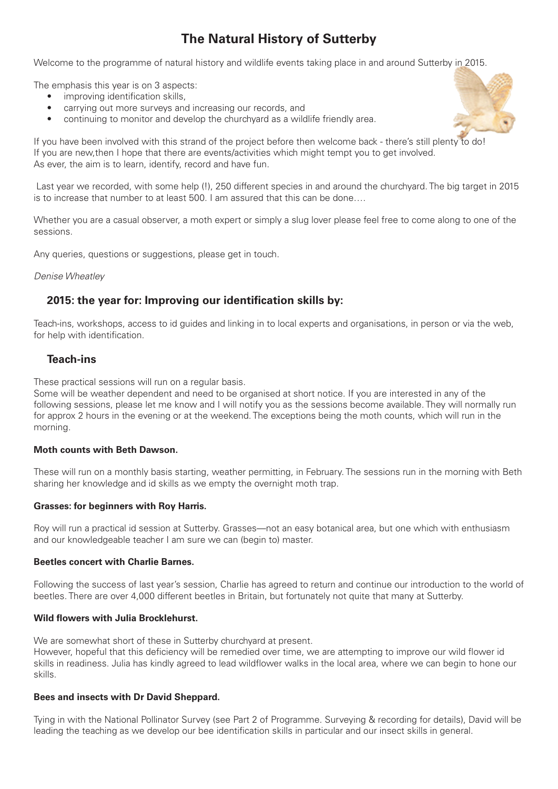# **The Natural History of Sutterby**

Welcome to the programme of natural history and wildlife events taking place in and around Sutterby in 2015.

The emphasis this year is on 3 aspects:

- improving identification skills,
- carrying out more surveys and increasing our records, and
- continuing to monitor and develop the churchyard as a wildlife friendly area.



If you have been involved with this strand of the project before then welcome back - there's still plenty to do! If you are new,then I hope that there are events/activities which might tempt you to get involved. As ever, the aim is to learn, identify, record and have fun.

 Last year we recorded, with some help (!), 250 different species in and around the churchyard. The big target in 2015 is to increase that number to at least 500. I am assured that this can be done….

Whether you are a casual observer, a moth expert or simply a slug lover please feel free to come along to one of the sessions.

Any queries, questions or suggestions, please get in touch.

#### *Denise Wheatley*

# **2015: the year for: Improving our identification skills by:**

Teach-ins, workshops, access to id guides and linking in to local experts and organisations, in person or via the web, for help with identification.

# **Teach-ins**

These practical sessions will run on a regular basis.

Some will be weather dependent and need to be organised at short notice. If you are interested in any of the following sessions, please let me know and I will notify you as the sessions become available. They will normally run for approx 2 hours in the evening or at the weekend. The exceptions being the moth counts, which will run in the morning.

# **Moth counts with Beth Dawson.**

These will run on a monthly basis starting, weather permitting, in February. The sessions run in the morning with Beth sharing her knowledge and id skills as we empty the overnight moth trap.

# **Grasses: for beginners with Roy Harris.**

Roy will run a practical id session at Sutterby. Grasses—not an easy botanical area, but one which with enthusiasm and our knowledgeable teacher I am sure we can (begin to) master.

# **Beetles concert with Charlie Barnes.**

Following the success of last year's session, Charlie has agreed to return and continue our introduction to the world of beetles. There are over 4,000 different beetles in Britain, but fortunately not quite that many at Sutterby.

# **Wild flowers with Julia Brocklehurst.**

We are somewhat short of these in Sutterby churchyard at present. However, hopeful that this deficiency will be remedied over time, we are attempting to improve our wild flower id skills in readiness. Julia has kindly agreed to lead wildflower walks in the local area, where we can begin to hone our skills.

# **Bees and insects with Dr David Sheppard.**

Tying in with the National Pollinator Survey (see Part 2 of Programme. Surveying & recording for details), David will be leading the teaching as we develop our bee identification skills in particular and our insect skills in general.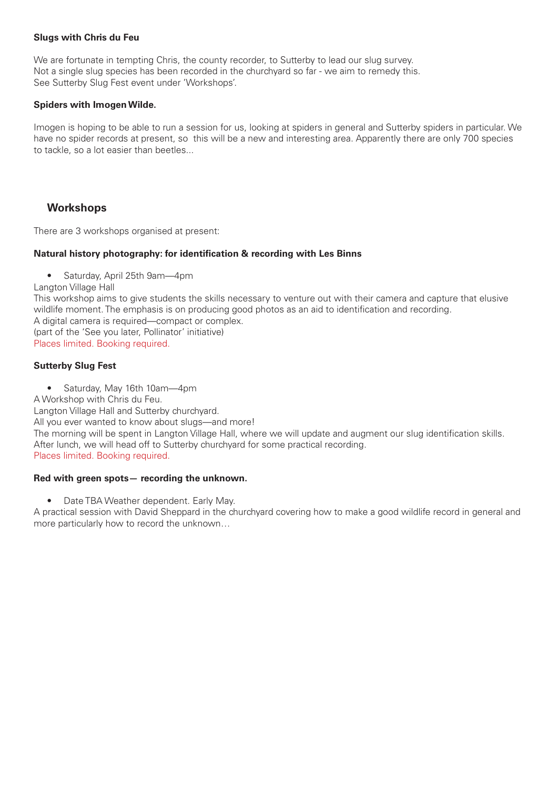# **Slugs with Chris du Feu**

We are fortunate in tempting Chris, the county recorder, to Sutterby to lead our slug survey. Not a single slug species has been recorded in the churchyard so far - we aim to remedy this. See Sutterby Slug Fest event under 'Workshops'.

#### **Spiders with Imogen Wilde.**

Imogen is hoping to be able to run a session for us, looking at spiders in general and Sutterby spiders in particular. We have no spider records at present, so this will be a new and interesting area. Apparently there are only 700 species to tackle, so a lot easier than beetles...

# **Workshops**

There are 3 workshops organised at present:

#### **Natural history photography: for identification & recording with Les Binns**

• Saturday, April 25th 9am—4pm

Langton Village Hall

This workshop aims to give students the skills necessary to venture out with their camera and capture that elusive wildlife moment. The emphasis is on producing good photos as an aid to identification and recording. A digital camera is required—compact or complex. (part of the 'See you later, Pollinator' initiative) Places limited. Booking required.

# **Sutterby Slug Fest**

• Saturday, May 16th 10am—4pm A Workshop with Chris du Feu. Langton Village Hall and Sutterby churchyard. All you ever wanted to know about slugs—and more! The morning will be spent in Langton Village Hall, where we will update and augment our slug identification skills. After lunch, we will head off to Sutterby churchyard for some practical recording. Places limited. Booking required.

# **Red with green spots— recording the unknown.**

• Date TBA Weather dependent. Early May.

A practical session with David Sheppard in the churchyard covering how to make a good wildlife record in general and more particularly how to record the unknown…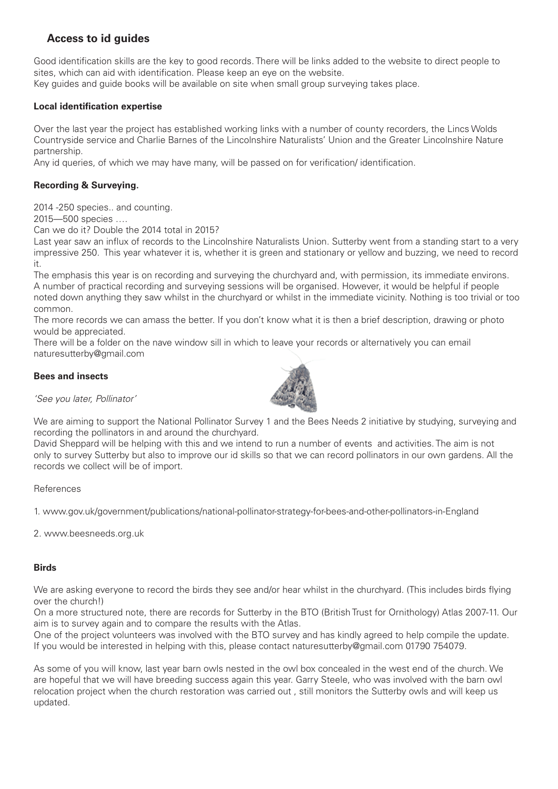# **Access to id guides**

Good identification skills are the key to good records. There will be links added to the website to direct people to sites, which can aid with identification. Please keep an eye on the website. Key guides and guide books will be available on site when small group surveying takes place.

# **Local identification expertise**

Over the last year the project has established working links with a number of county recorders, the Lincs Wolds Countryside service and Charlie Barnes of the Lincolnshire Naturalists' Union and the Greater Lincolnshire Nature partnership.

Any id queries, of which we may have many, will be passed on for verification/ identification.

# **Recording & Surveying.**

2014 -250 species.. and counting.

2015—500 species ….

Can we do it? Double the 2014 total in 2015?

Last year saw an influx of records to the Lincolnshire Naturalists Union. Sutterby went from a standing start to a very impressive 250. This year whatever it is, whether it is green and stationary or yellow and buzzing, we need to record it.

The emphasis this year is on recording and surveying the churchyard and, with permission, its immediate environs. A number of practical recording and surveying sessions will be organised. However, it would be helpful if people noted down anything they saw whilst in the churchyard or whilst in the immediate vicinity. Nothing is too trivial or too common.

The more records we can amass the better. If you don't know what it is then a brief description, drawing or photo would be appreciated.

There will be a folder on the nave window sill in which to leave your records or alternatively you can email naturesutterby@gmail.com

# **Bees and insects**



*'See you later, Pollinator'*

We are aiming to support the National Pollinator Survey 1 and the Bees Needs 2 initiative by studying, surveying and recording the pollinators in and around the churchyard.

David Sheppard will be helping with this and we intend to run a number of events and activities. The aim is not only to survey Sutterby but also to improve our id skills so that we can record pollinators in our own gardens. All the records we collect will be of import.

# References

1. www.gov.uk/government/publications/national-pollinator-strategy-for-bees-and-other-pollinators-in-England

2. www.beesneeds.org.uk

#### **Birds**

We are asking everyone to record the birds they see and/or hear whilst in the churchyard. (This includes birds flying over the church!)

On a more structured note, there are records for Sutterby in the BTO (British Trust for Ornithology) Atlas 2007-11. Our aim is to survey again and to compare the results with the Atlas.

One of the project volunteers was involved with the BTO survey and has kindly agreed to help compile the update. If you would be interested in helping with this, please contact naturesutterby@gmail.com 01790 754079.

As some of you will know, last year barn owls nested in the owl box concealed in the west end of the church. We are hopeful that we will have breeding success again this year. Garry Steele, who was involved with the barn owl relocation project when the church restoration was carried out , still monitors the Sutterby owls and will keep us updated.